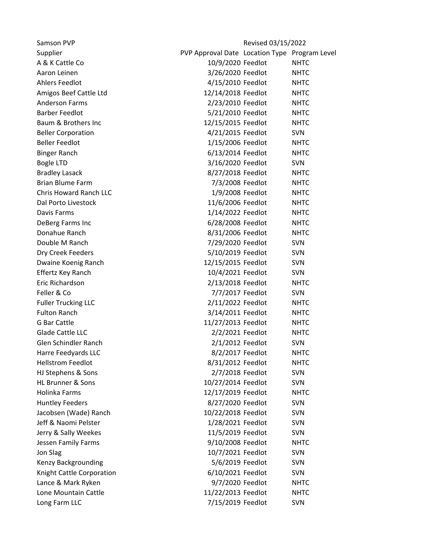| Samson PVP                   |                                               | Revised 03/15/2022 |             |
|------------------------------|-----------------------------------------------|--------------------|-------------|
| Supplier                     | PVP Approval Date Location Type Program Level |                    |             |
| A & K Cattle Co              | 10/9/2020 Feedlot                             |                    | <b>NHTC</b> |
| Aaron Leinen                 | 3/26/2020 Feedlot                             |                    | <b>NHTC</b> |
| <b>Ahlers Feedlot</b>        | 4/15/2010 Feedlot                             |                    | <b>NHTC</b> |
| Amigos Beef Cattle Ltd       | 12/14/2018 Feedlot                            |                    | <b>NHTC</b> |
| <b>Anderson Farms</b>        | 2/23/2010 Feedlot                             |                    | <b>NHTC</b> |
| <b>Barber Feedlot</b>        | 5/21/2010 Feedlot                             |                    | <b>NHTC</b> |
| Baum & Brothers Inc          | 12/15/2015 Feedlot                            |                    | <b>NHTC</b> |
| <b>Beller Corporation</b>    | 4/21/2015 Feedlot                             |                    | SVN         |
| <b>Beller Feedlot</b>        | 1/15/2006 Feedlot                             |                    | <b>NHTC</b> |
| <b>Binger Ranch</b>          | 6/13/2014 Feedlot                             |                    | <b>NHTC</b> |
| <b>Bogle LTD</b>             | 3/16/2020 Feedlot                             |                    | <b>SVN</b>  |
| <b>Bradley Lasack</b>        | 8/27/2018 Feedlot                             |                    | <b>NHTC</b> |
| <b>Brian Blume Farm</b>      | 7/3/2008 Feedlot                              |                    | <b>NHTC</b> |
| Chris Howard Ranch LLC       | 1/9/2008 Feedlot                              |                    | <b>NHTC</b> |
| Dal Porto Livestock          | 11/6/2006 Feedlot                             |                    | <b>NHTC</b> |
| Davis Farms                  | 1/14/2022 Feedlot                             |                    | <b>NHTC</b> |
| DeBerg Farms Inc             | 6/28/2008 Feedlot                             |                    | <b>NHTC</b> |
| Donahue Ranch                | 8/31/2006 Feedlot                             |                    | <b>NHTC</b> |
| Double M Ranch               | 7/29/2020 Feedlot                             |                    | <b>SVN</b>  |
| Dry Creek Feeders            | 5/10/2019 Feedlot                             |                    | <b>SVN</b>  |
| Dwaine Koenig Ranch          | 12/15/2015 Feedlot                            |                    | <b>SVN</b>  |
| Effertz Key Ranch            | 10/4/2021 Feedlot                             |                    | <b>SVN</b>  |
| Eric Richardson              | 2/13/2018 Feedlot                             |                    | <b>NHTC</b> |
| Feller & Co                  | 7/7/2017 Feedlot                              |                    | <b>SVN</b>  |
| <b>Fuller Trucking LLC</b>   | 2/11/2022 Feedlot                             |                    | <b>NHTC</b> |
| <b>Fulton Ranch</b>          | 3/14/2011 Feedlot                             |                    | <b>NHTC</b> |
| <b>G Bar Cattle</b>          | 11/27/2013 Feedlot                            |                    | <b>NHTC</b> |
| Glade Cattle LLC             | 2/2/2021 Feedlot                              |                    | <b>NHTC</b> |
| Glen Schindler Ranch         | 2/1/2012 Feedlot                              |                    | <b>SVN</b>  |
| Harre Feedyards LLC          | 8/2/2017 Feedlot                              |                    | <b>NHTC</b> |
| <b>Hellstrom Feedlot</b>     | 8/31/2012 Feedlot                             |                    | <b>NHTC</b> |
| HJ Stephens & Sons           | 2/7/2018 Feedlot                              |                    | <b>SVN</b>  |
| <b>HL Brunner &amp; Sons</b> | 10/27/2014 Feedlot                            |                    | <b>SVN</b>  |
| Holinka Farms                | 12/17/2019 Feedlot                            |                    | <b>NHTC</b> |
| <b>Huntley Feeders</b>       | 8/27/2020 Feedlot                             |                    | SVN         |
| Jacobsen (Wade) Ranch        | 10/22/2018 Feedlot                            |                    | <b>SVN</b>  |
| Jeff & Naomi Pelster         | 1/28/2021 Feedlot                             |                    | <b>SVN</b>  |
| Jerry & Sally Weekes         | 11/5/2019 Feedlot                             |                    | <b>SVN</b>  |
| Jessen Family Farms          | 9/10/2008 Feedlot                             |                    | <b>NHTC</b> |
| Jon Slag                     | 10/7/2021 Feedlot                             |                    | <b>SVN</b>  |
| Kenzy Backgrounding          | 5/6/2019 Feedlot                              |                    | <b>SVN</b>  |
| Knight Cattle Corporation    | 6/10/2021 Feedlot                             |                    | SVN         |
| Lance & Mark Ryken           | 9/7/2020 Feedlot                              |                    | <b>NHTC</b> |
| Lone Mountain Cattle         | 11/22/2013 Feedlot                            |                    | <b>NHTC</b> |
| Long Farm LLC                | 7/15/2019 Feedlot                             |                    | SVN         |